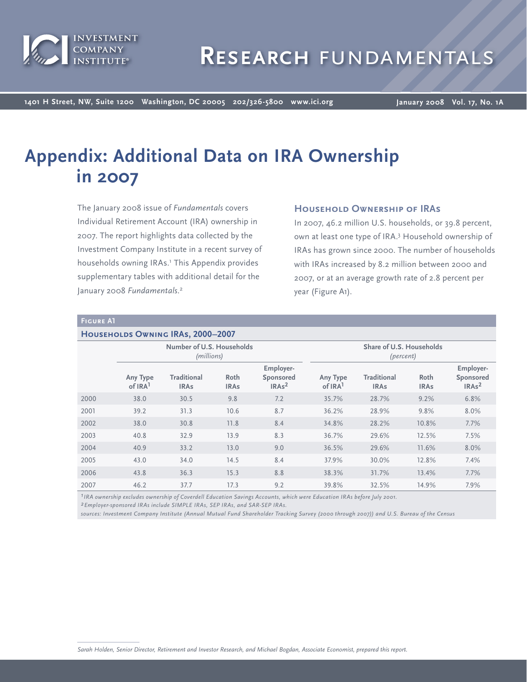

**1401 H Street, NW, Suite 1200 Washington, DC 20005 202/326-5800 www.ici.org**

**January 2008 Vol. 17, No. 1A**

# **Appendix: Additional Data on IRA Ownership in 2007**

The January 2008 issue of *Fundamentals* covers Individual Retirement Account (IRA) ownership in 2007. The report highlights data collected by the Investment Company Institute in a recent survey of households owning IRAs.<sup>1</sup> This Appendix provides supplementary tables with additional detail for the January 2008 *Fundamentals*. 2

# **Household Ownership of IRAs**

In 2007, 46.2 million U.S. households, or 39.8 percent, own at least one type of IRA.<sup>3</sup> Household ownership of IRAs has grown since 2000. The number of households with IRAs increased by 8.2 million between 2000 and 2007, or at an average growth rate of 2.8 percent per year (Figure A1).

#### **Figure A1**

#### **HOUSEHOLDS OWNING IRAS, 2000-2007**

|      | Number of U.S. Households<br>(millions) |                                   |                     | Share of U.S. Households<br>(percent)       |                                 |                                   |                     |                                             |
|------|-----------------------------------------|-----------------------------------|---------------------|---------------------------------------------|---------------------------------|-----------------------------------|---------------------|---------------------------------------------|
|      | Any Type<br>of IRA <sup>1</sup>         | <b>Traditional</b><br><b>IRAs</b> | Roth<br><b>IRAs</b> | Employer-<br>Sponsored<br>IRAs <sup>2</sup> | Any Type<br>of IRA <sup>1</sup> | <b>Traditional</b><br><b>IRAs</b> | Roth<br><b>IRAs</b> | Employer-<br>Sponsored<br>IRAs <sup>2</sup> |
| 2000 | 38.0                                    | 30.5                              | 9.8                 | 7.2                                         | 35.7%                           | 28.7%                             | 9.2%                | 6.8%                                        |
| 2001 | 39.2                                    | 31.3                              | 10.6                | 8.7                                         | 36.2%                           | 28.9%                             | 9.8%                | 8.0%                                        |
| 2002 | 38.0                                    | 30.8                              | 11.8                | 8.4                                         | 34.8%                           | 28.2%                             | 10.8%               | 7.7%                                        |
| 2003 | 40.8                                    | 32.9                              | 13.9                | 8.3                                         | 36.7%                           | 29.6%                             | 12.5%               | 7.5%                                        |
| 2004 | 40.9                                    | 33.2                              | 13.0                | 9.0                                         | 36.5%                           | 29.6%                             | 11.6%               | 8.0%                                        |
| 2005 | 43.0                                    | 34.0                              | 14.5                | 8.4                                         | 37.9%                           | 30.0%                             | 12.8%               | 7.4%                                        |
| 2006 | 43.8                                    | 36.3                              | 15.3                | 8.8                                         | 38.3%                           | 31.7%                             | 13.4%               | 7.7%                                        |
| 2007 | 46.2                                    | 37.7                              | 17.3                | 9.2                                         | 39.8%                           | 32.5%                             | 14.9%               | 7.9%                                        |

*1IRA ownership excludes ownership of Coverdell Education Savings Accounts, which were Education IRAs before July 2001.*

*2Employer-sponsored IRAs include SIMPLE IRAs, SEP IRAs, and SAR-SEP IRAs.*

*sources: Investment Company Institute (Annual Mutual Fund Shareholder Tracking Survey (2000 through 2007)) and U.S. Bureau of the Census*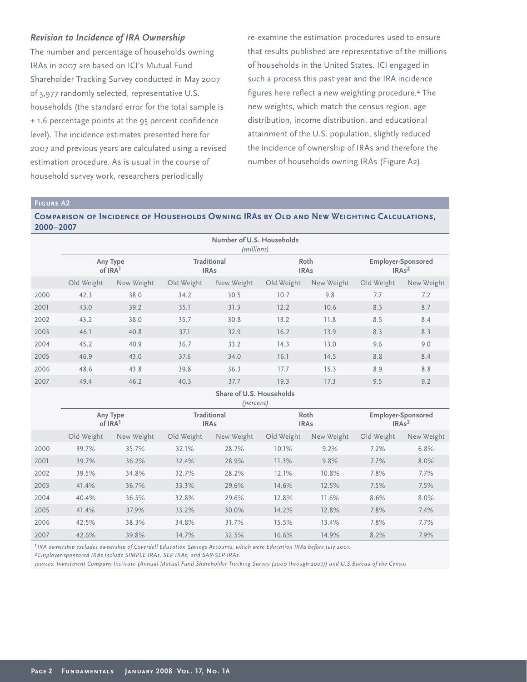# *Revision to Incidence of IRA Ownership*

The number and percentage of households owning IRAs in 2007 are based on ICI's Mutual Fund Shareholder Tracking Survey conducted in May 2007 of 3,977 randomly selected, representative U.S. households (the standard error for the total sample is  $± 1.6$  percentage points at the 95 percent confidence level). The incidence estimates presented here for 2007 and previous years are calculated using a revised estimation procedure. As is usual in the course of household survey work, researchers periodically

re-examine the estimation procedures used to ensure that results published are representative of the millions of households in the United States. ICI engaged in such a process this past year and the IRA incidence figures here reflect a new weighting procedure.<sup>4</sup> The new weights, which match the census region, age distribution, income distribution, and educational attainment of the U.S. population, slightly reduced the incidence of ownership of IRAs and therefore the number of households owning IRAs (Figure A2).

#### **Figure A2**

## **Comparison of Incidence of Households Owning IRAs by Old and New Weighting Calculations, 2000–2007**

|      | Number of U.S. Households<br>(millions) |            |                                   |            |                     |            |                                                            |            |
|------|-----------------------------------------|------------|-----------------------------------|------------|---------------------|------------|------------------------------------------------------------|------------|
|      | Any Type<br>of IRA <sup>1</sup>         |            | <b>Traditional</b><br><b>IRAs</b> |            | Roth<br><b>IRAs</b> |            | <b>Employer-Sponsored</b><br>IRA <sub>s</sub> <sup>2</sup> |            |
|      | Old Weight                              | New Weight | Old Weight                        | New Weight | Old Weight          | New Weight | Old Weight                                                 | New Weight |
| 2000 | 42.3                                    | 38.0       | 34.2                              | 30.5       | 10.7                | 9.8        | 7.7                                                        | 7.2        |
| 2001 | 43.0                                    | 39.2       | 35.1                              | 31.3       | 12.2                | 10.6       | 8.3                                                        | 8.7        |
| 2002 | 43.2                                    | 38.0       | 35.7                              | 30.8       | 13.2                | 11.8       | 8.5                                                        | 8.4        |
| 2003 | 46.1                                    | 40.8       | 37.1                              | 32.9       | 16.2                | 13.9       | 8.3                                                        | 8.3        |
| 2004 | 45.2                                    | 40.9       | 36.7                              | 33.2       | 14.3                | 13.0       | 9.6                                                        | 9.0        |
| 2005 | 46.9                                    | 43.0       | 37.6                              | 34.0       | 16.1                | 14.5       | 8.8                                                        | 8.4        |
| 2006 | 48.6                                    | 43.8       | 39.8                              | 36.3       | 17.7                | 15.3       | 8.9                                                        | 8.8        |
| 2007 | 49.4                                    | 46.2       | 40.3                              | 37.7       | 19.3                | 17.3       | 9.5                                                        | 9.2        |

#### **Share of U.S. Households** *(percent)*

|      | Any Type<br>of IRA <sup>1</sup> |            | <b>Traditional</b><br><b>IRAs</b> |            | Roth<br><b>IRAs</b> |            | <b>Employer-Sponsored</b><br>IRAs <sup>2</sup> |            |
|------|---------------------------------|------------|-----------------------------------|------------|---------------------|------------|------------------------------------------------|------------|
|      | Old Weight                      | New Weight | Old Weight                        | New Weight | Old Weight          | New Weight | Old Weight                                     | New Weight |
| 2000 | 39.7%                           | 35.7%      | 32.1%                             | 28.7%      | 10.1%               | 9.2%       | 7.2%                                           | 6.8%       |
| 2001 | 39.7%                           | 36.2%      | 32.4%                             | 28.9%      | 11.3%               | 9.8%       | 7.7%                                           | 8.0%       |
| 2002 | 39.5%                           | 34.8%      | 32.7%                             | 28.2%      | 12.1%               | 10.8%      | 7.8%                                           | 7.7%       |
| 2003 | 41.4%                           | 36.7%      | 33.3%                             | 29.6%      | 14.6%               | 12.5%      | 7.5%                                           | 7.5%       |
| 2004 | 40.4%                           | 36.5%      | 32.8%                             | 29.6%      | 12.8%               | 11.6%      | 8.6%                                           | 8.0%       |
| 2005 | 41.4%                           | 37.9%      | 33.2%                             | 30.0%      | 14.2%               | 12.8%      | 7.8%                                           | 7.4%       |
| 2006 | 42.5%                           | 38.3%      | 34.8%                             | 31.7%      | 15.5%               | 13.4%      | 7.8%                                           | 7.7%       |
| 2007 | 42.6%                           | 39.8%      | 34.7%                             | 32.5%      | 16.6%               | 14.9%      | 8.2%                                           | 7.9%       |

*1IRA ownership excludes ownership of Coverdell Education Savings Accounts, which were Education IRAs before July 2001.*

*2Employer-sponsored IRAs include SIMPLE IRAs, SEP IRAs, and SAR-SEP IRAs.*

*sources: Investment Company Institute (Annual Mutual Fund Shareholder Tracking Survey (2000 through 2007)) and U.S.Bureau of the Census*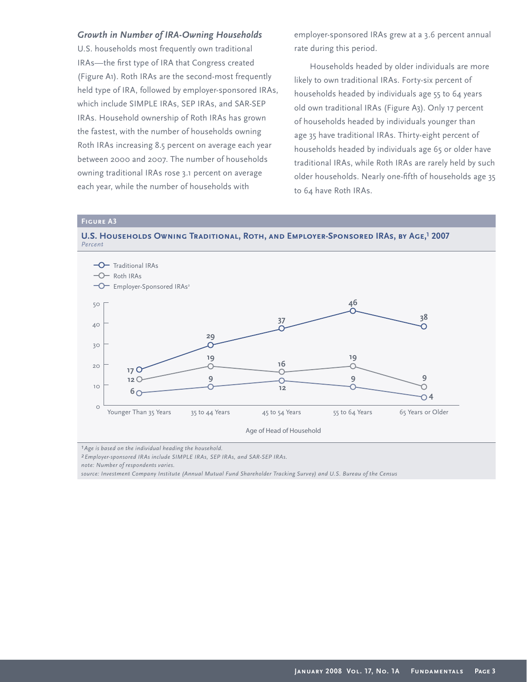## *Growth in Number of IRA-Owning Households*

U.S. households most frequently own traditional IRAs-the first type of IRA that Congress created (Figure A1). Roth IRAs are the second-most frequently held type of IRA, followed by employer-sponsored IRAs, which include SIMPLE IRAs, SEP IRAs, and SAR-SEP IRAs. Household ownership of Roth IRAs has grown the fastest, with the number of households owning Roth IRAs increasing 8.5 percent on average each year between 2000 and 2007. The number of households owning traditional IRAs rose 3.1 percent on average each year, while the number of households with

employer-sponsored IRAs grew at a 3.6 percent annual rate during this period.

Households headed by older individuals are more likely to own traditional IRAs. Forty-six percent of households headed by individuals age 55 to 64 years old own traditional IRAs (Figure A3). Only 17 percent of households headed by individuals younger than age 35 have traditional IRAs. Thirty-eight percent of households headed by individuals age 65 or older have traditional IRAs, while Roth IRAs are rarely held by such older households. Nearly one-fifth of households age 35 to 64 have Roth IRAs.

**Figure A3**





*1Age is based on the individual heading the household.* 

*2Employer-sponsored IRAs include SIMPLE IRAs, SEP IRAs, and SAR-SEP IRAs.* 

*note: Number of respondents varies.* 

*source: Investment Company Institute (Annual Mutual Fund Shareholder Tracking Survey) and U.S. Bureau of the Census*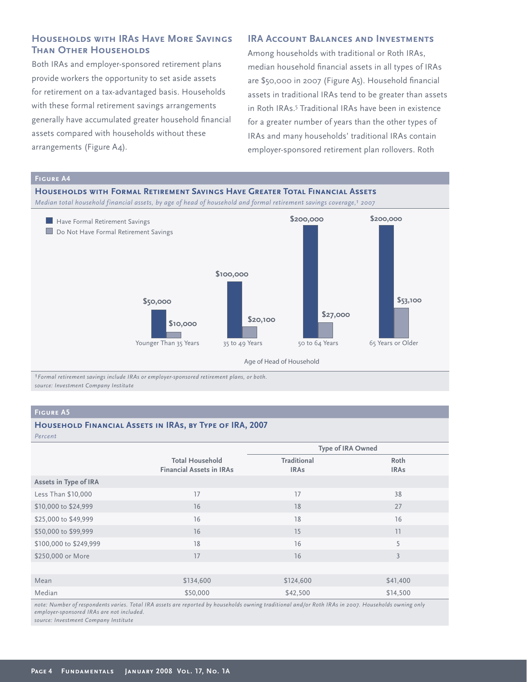# **Households with IRAs Have More Savings Than Other Households**

Both IRAs and employer-sponsored retirement plans provide workers the opportunity to set aside assets for retirement on a tax-advantaged basis. Households with these formal retirement savings arrangements generally have accumulated greater household financial assets compared with households without these arrangements (Figure A4).

# **IRA ACCOUNT BALANCES AND INVESTMENTS**

Among households with traditional or Roth IRAs, median household financial assets in all types of IRAs are \$50,000 in 2007 (Figure A5). Household financial assets in traditional IRAs tend to be greater than assets in Roth IRAs.<sup>5</sup> Traditional IRAs have been in existence for a greater number of years than the other types of IRAs and many households' traditional IRAs contain employer-sponsored retirement plan rollovers. Roth



*1Formal retirement savings include IRAs or employer-sponsored retirement plans, or both. source: Investment Company Institute* 

## **Figure A5**

## **Household Financial Assets in IRAs, by Type of IRA, 2007**

| Percent                |                                                           |                                   |                     |  |
|------------------------|-----------------------------------------------------------|-----------------------------------|---------------------|--|
|                        |                                                           | <b>Type of IRA Owned</b>          |                     |  |
|                        | <b>Total Household</b><br><b>Financial Assets in IRAs</b> | <b>Traditional</b><br><b>IRAs</b> | Roth<br><b>IRAs</b> |  |
| Assets in Type of IRA  |                                                           |                                   |                     |  |
| Less Than \$10,000     | 17                                                        | 17                                | 38                  |  |
| \$10,000 to \$24,999   | 16                                                        | 18                                | 27                  |  |
| \$25,000 to \$49,999   | 16                                                        | 18                                | 16                  |  |
| \$50,000 to \$99,999   | 16                                                        | 15                                | 11                  |  |
| \$100,000 to \$249,999 | 18                                                        | 16                                | 5                   |  |
| \$250,000 or More      | 17                                                        | 16                                | $\overline{3}$      |  |
|                        |                                                           |                                   |                     |  |
| Mean                   | \$134,600                                                 | \$124,600                         | \$41,400            |  |
| Median                 | \$50,000                                                  | \$42,500                          | \$14,500            |  |

*note: Number of respondents varies. Total IRA assets are reported by households owning traditional and/or Roth IRAs in 2007. Households owning only employer-sponsored IRAs are not included. source: Investment Company Institute*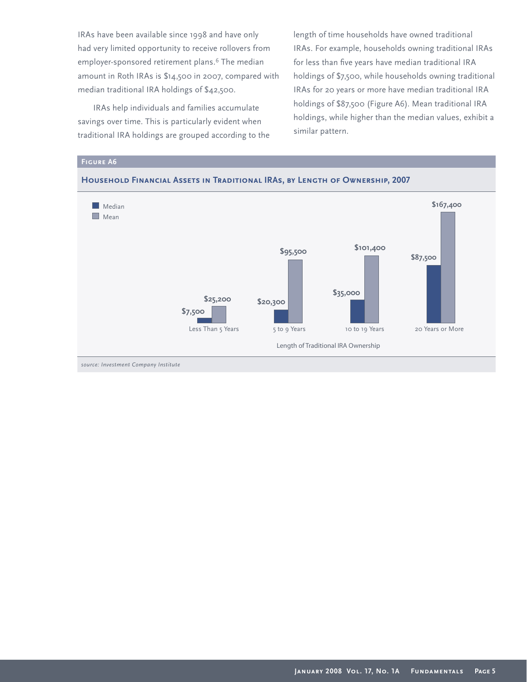IRAs have been available since 1998 and have only had very limited opportunity to receive rollovers from employer-sponsored retirement plans.<sup>6</sup> The median amount in Roth IRAs is \$14,500 in 2007, compared with median traditional IRA holdings of \$42,500.

IRAs help individuals and families accumulate savings over time. This is particularly evident when traditional IRA holdings are grouped according to the length of time households have owned traditional IRAs. For example, households owning traditional IRAs for less than five years have median traditional IRA holdings of \$7,500, while households owning traditional IRAs for 20 years or more have median traditional IRA holdings of \$87,500 (Figure A6). Mean traditional IRA holdings, while higher than the median values, exhibit a similar pattern.



## **January 2008 Vol. 17, No. 1A Fundamentals Page 5**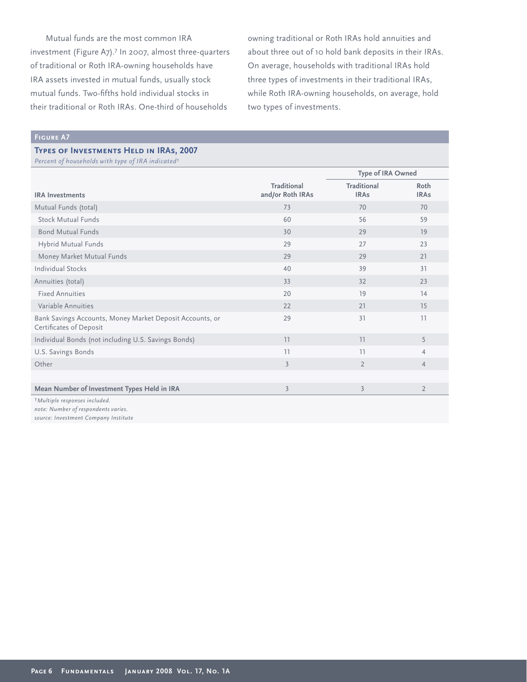Mutual funds are the most common IRA investment (Figure A7).<sup>7</sup> In 2007, almost three-quarters of traditional or Roth IRA-owning households have IRA assets invested in mutual funds, usually stock mutual funds. Two-fifths hold individual stocks in their traditional or Roth IRAs. One-third of households

owning traditional or Roth IRAs hold annuities and about three out of 10 hold bank deposits in their IRAs. On average, households with traditional IRAs hold three types of investments in their traditional IRAs, while Roth IRA-owning households, on average, hold two types of investments.

## **Figure A7**

## **Types of Investments Held in IRAs, 2007**

| Percent of households with type of IRA indicated <sup>1</sup>                       |                                        |                                   |                     |
|-------------------------------------------------------------------------------------|----------------------------------------|-----------------------------------|---------------------|
|                                                                                     |                                        | Type of IRA Owned                 |                     |
| <b>IRA</b> Investments                                                              | <b>Traditional</b><br>and/or Roth IRAs | <b>Traditional</b><br><b>IRAs</b> | Roth<br><b>IRAs</b> |
| Mutual Funds (total)                                                                | 73                                     | 70                                | 70                  |
| Stock Mutual Funds                                                                  | 60                                     | 56                                | 59                  |
| <b>Bond Mutual Funds</b>                                                            | 30                                     | 29                                | 19                  |
| Hybrid Mutual Funds                                                                 | 29                                     | 27                                | 23                  |
| Money Market Mutual Funds                                                           | 29                                     | 29                                | 21                  |
| <b>Individual Stocks</b>                                                            | 40                                     | 39                                | 31                  |
| Annuities (total)                                                                   | 33                                     | 32                                | 23                  |
| <b>Fixed Annuities</b>                                                              | 20                                     | 19                                | 14                  |
| Variable Annuities                                                                  | 22                                     | 21                                | 15                  |
| Bank Savings Accounts, Money Market Deposit Accounts, or<br>Certificates of Deposit | 29                                     | 31                                | 11                  |
| Individual Bonds (not including U.S. Savings Bonds)                                 | 11                                     | 11                                | 5                   |
| U.S. Savings Bonds                                                                  | 11                                     | 11                                | $\overline{4}$      |
| Other                                                                               | $\overline{3}$                         | $\overline{2}$                    | $\overline{4}$      |
|                                                                                     |                                        |                                   |                     |
| Mean Number of Investment Types Held in IRA                                         | $\overline{3}$                         | 3                                 | $\overline{2}$      |
| <sup>1</sup> Multiple responses included.<br>$\cdots$ $\cdots$ $\cdots$             |                                        |                                   |                     |

*note: Number of respondents varies. source: Investment Company Institute*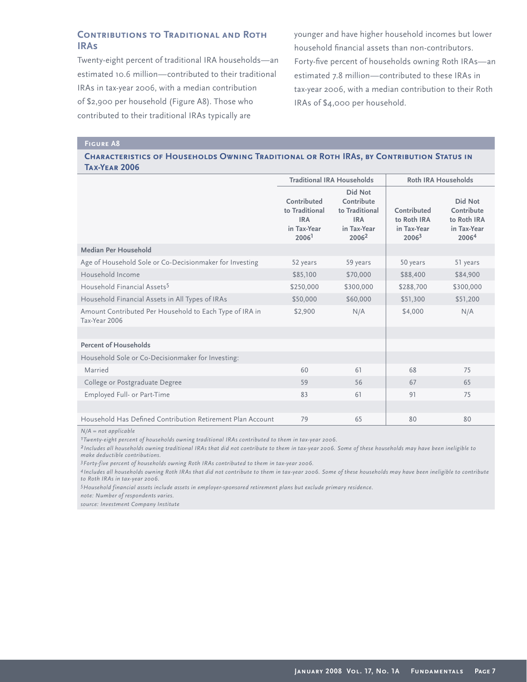# **Contributions to Traditional and Roth IRAs**

Twenty-eight percent of traditional IRA households—an estimated 10.6 million—contributed to their traditional IRAs in tax-year 2006, with a median contribution of \$2,900 per household (Figure A8). Those who contributed to their traditional IRAs typically are

younger and have higher household incomes but lower household financial assets than non-contributors. Forty-five percent of households owning Roth IRAs-an estimated 7.8 million—contributed to these IRAs in tax-year 2006, with a median contribution to their Roth IRAs of \$4,000 per household.

#### **Figure A8**

## **Characteristics of Households Owning Traditional or Roth IRAs, by Contribution Status in Tax-Year 2006**

|                                                                          | <b>Traditional IRA Households</b>                                               |                                                                                           | <b>Roth IRA Households</b>                                     |                                                              |
|--------------------------------------------------------------------------|---------------------------------------------------------------------------------|-------------------------------------------------------------------------------------------|----------------------------------------------------------------|--------------------------------------------------------------|
|                                                                          | Contributed<br>to Traditional<br><b>IRA</b><br>in Tax-Year<br>2006 <sup>1</sup> | Did Not<br>Contribute<br>to Traditional<br><b>IRA</b><br>in Tax-Year<br>2006 <sup>2</sup> | Contributed<br>to Roth IRA<br>in Tax-Year<br>2006 <sup>3</sup> | Did Not<br>Contribute<br>to Roth IRA<br>in Tax-Year<br>20064 |
| Median Per Household                                                     |                                                                                 |                                                                                           |                                                                |                                                              |
| Age of Household Sole or Co-Decisionmaker for Investing                  | 52 years                                                                        | 59 years                                                                                  | 50 years                                                       | 51 years                                                     |
| Household Income                                                         | \$85,100                                                                        | \$70,000                                                                                  | \$88,400                                                       | \$84,900                                                     |
| Household Financial Assets <sup>5</sup>                                  | \$250,000                                                                       | \$300,000                                                                                 | \$288,700                                                      | \$300,000                                                    |
| Household Financial Assets in All Types of IRAs                          | \$50,000                                                                        | \$60,000                                                                                  | \$51,300                                                       | \$51,200                                                     |
| Amount Contributed Per Household to Each Type of IRA in<br>Tax-Year 2006 | \$2,900                                                                         | N/A                                                                                       | \$4,000                                                        | N/A                                                          |
|                                                                          |                                                                                 |                                                                                           |                                                                |                                                              |
| <b>Percent of Households</b>                                             |                                                                                 |                                                                                           |                                                                |                                                              |
| Household Sole or Co-Decisionmaker for Investing:                        |                                                                                 |                                                                                           |                                                                |                                                              |
| Married                                                                  | 60                                                                              | 61                                                                                        | 68                                                             | 75                                                           |
| College or Postgraduate Degree                                           | 59                                                                              | 56                                                                                        | 67                                                             | 65                                                           |
| Employed Full- or Part-Time                                              | 83                                                                              | 61                                                                                        | 91                                                             | 75                                                           |
|                                                                          |                                                                                 |                                                                                           |                                                                |                                                              |
| Household Has Defined Contribution Retirement Plan Account               | 79                                                                              | 65                                                                                        | 80                                                             | 80                                                           |

*N/A = not applicable*

*1Twenty-eight percent of households owning traditional IRAs contributed to them in tax-year 2006.*

*2 Includes all households owning traditional IRAs that did not contribute to them in tax-year 2006. Some of these households may have been ineligible to make deductible contributions.* 

*3Forty-five percent of households owning Roth IRAs contributed to them in tax-year 2006.*

*4 Includes all households owning Roth IRAs that did not contribute to them in tax-year 2006. Some of these households may have been ineligible to contribute to Roth IRAs in tax-year 2006.* 

*5Household financial assets include assets in employer-sponsored retirement plans but exclude primary residence.*

*note: Number of respondents varies.*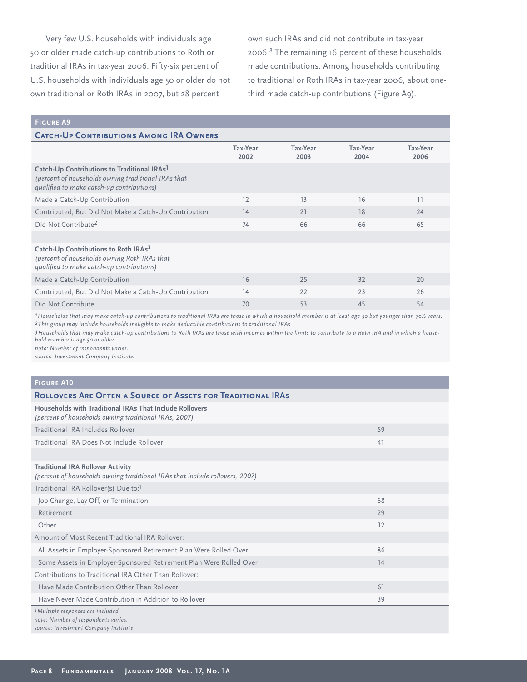Very few U.S. households with individuals age 50 or older made catch-up contributions to Roth or traditional IRAs in tax-year 2006. Fifty-six percent of U.S. households with individuals age 50 or older do not own traditional or Roth IRAs in 2007, but 28 percent

own such IRAs and did not contribute in tax-year 2006.<sup>8</sup> The remaining 16 percent of these households made contributions. Among households contributing to traditional or Roth IRAs in tax-year 2006, about onethird made catch-up contributions (Figure A9).

## **Figure A9**

| <b>CATCH-UP CONTRIBUTIONS AMONG IRA OWNERS</b>                                                                                                              |                         |                  |                  |                  |  |  |
|-------------------------------------------------------------------------------------------------------------------------------------------------------------|-------------------------|------------------|------------------|------------------|--|--|
|                                                                                                                                                             | <b>Tax-Year</b><br>2002 | Tax-Year<br>2003 | Tax-Year<br>2004 | Tax-Year<br>2006 |  |  |
| Catch-Up Contributions to Traditional IRAs <sup>1</sup><br>(percent of households owning traditional IRAs that<br>qualified to make catch-up contributions) |                         |                  |                  |                  |  |  |
| Made a Catch-Up Contribution                                                                                                                                | 12                      | 13               | 16               | 11               |  |  |
| Contributed, But Did Not Make a Catch-Up Contribution                                                                                                       | 14                      | 21               | 18               | 24               |  |  |
| Did Not Contribute <sup>2</sup>                                                                                                                             | 74                      | 66               | 66               | 65               |  |  |
|                                                                                                                                                             |                         |                  |                  |                  |  |  |
| Catch-Up Contributions to Roth IRAs <sup>3</sup><br>(percent of households owning Roth IRAs that<br>qualified to make catch-up contributions)               |                         |                  |                  |                  |  |  |
| Made a Catch-Up Contribution                                                                                                                                | 16                      | 25               | 32               | 20               |  |  |
| Contributed, But Did Not Make a Catch-Up Contribution                                                                                                       | 14                      | 22               | 23               | 26               |  |  |
| Did Not Contribute                                                                                                                                          | 70                      | 53               | 45               | 54               |  |  |

*1Households that may make catch-up contributions to traditional IRAs are those in which a household member is at least age 50 but younger than 70½ years. 2This group may include households ineligible to make deductible contributions to traditional IRAs.* 

*3Households that may make catch-up contributions to Roth IRAs are those with incomes within the limits to contribute to a Roth IRA and in which a household member is age 50 or older.* 

*note: Number of respondents varies.* 

| <b>FIGURE A10</b>                                                                                                            |    |
|------------------------------------------------------------------------------------------------------------------------------|----|
| <b>ROLLOVERS ARE OFTEN A SOURCE OF ASSETS FOR TRADITIONAL IRAS</b>                                                           |    |
| Households with Traditional IRAs That Include Rollovers<br>(percent of households owning traditional IRAs, 2007)             |    |
| Traditional IRA Includes Rollover                                                                                            | 59 |
| Traditional IRA Does Not Include Rollover                                                                                    | 41 |
|                                                                                                                              |    |
| <b>Traditional IRA Rollover Activity</b><br>(percent of households owning traditional IRAs that include rollovers, 2007)     |    |
| Traditional IRA Rollover(s) Due to: <sup>1</sup>                                                                             |    |
| Job Change, Lay Off, or Termination                                                                                          | 68 |
| Retirement                                                                                                                   | 29 |
| Other                                                                                                                        | 12 |
| Amount of Most Recent Traditional IRA Rollover:                                                                              |    |
| All Assets in Employer-Sponsored Retirement Plan Were Rolled Over                                                            | 86 |
| Some Assets in Employer-Sponsored Retirement Plan Were Rolled Over                                                           | 14 |
| Contributions to Traditional IRA Other Than Rollover:                                                                        |    |
| Have Made Contribution Other Than Rollover                                                                                   | 61 |
| Have Never Made Contribution in Addition to Rollover                                                                         | 39 |
| <sup>1</sup> Multiple responses are included.<br>note: Number of respondents varies.<br>source: Investment Company Institute |    |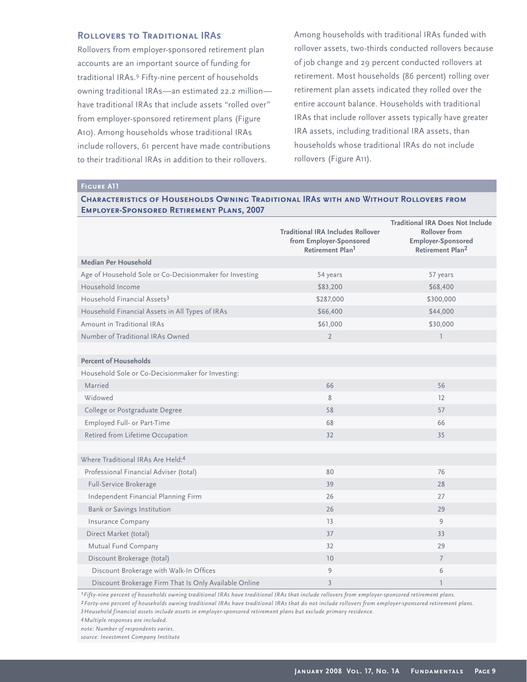## **ROLLOVERS TO TRADITIONAL IRAS**

Rollovers from employer-sponsored retirement plan accounts are an important source of funding for traditional IRAs.<sup>9</sup> Fifty-nine percent of households owning traditional IRAs—an estimated 22.2 million have traditional IRAs that include assets "rolled over" from employer-sponsored retirement plans (Figure A10). Among households whose traditional IRAs include rollovers, 61 percent have made contributions to their traditional IRAs in addition to their rollovers.

Among households with traditional IRAs funded with rollover assets, two-thirds conducted rollovers because of job change and 29 percent conducted rollovers at retirement. Most households (86 percent) rolling over retirement plan assets indicated they rolled over the entire account balance. Households with traditional IRAs that include rollover assets typically have greater IRA assets, including traditional IRA assets, than households whose traditional IRAs do not include rollovers (Figure A11).

## **Figure A11**

## **Characteristics of Households Owning Traditional IRAs with and Without Rollovers from Employer-Sponsored Retirement Plans, 2007**

|                                                         | <b>Traditional IRA Includes Rollover</b><br>from Employer-Sponsored<br>Retirement Plan <sup>1</sup> | <b>Traditional IRA Does Not Include</b><br><b>Rollover from</b><br>Employer-Sponsored<br>Retirement Plan <sup>2</sup> |
|---------------------------------------------------------|-----------------------------------------------------------------------------------------------------|-----------------------------------------------------------------------------------------------------------------------|
| Median Per Household                                    |                                                                                                     |                                                                                                                       |
| Age of Household Sole or Co-Decisionmaker for Investing | 54 years                                                                                            | 57 years                                                                                                              |
| Household Income                                        | \$83,200                                                                                            | \$68,400                                                                                                              |
| Household Financial Assets <sup>3</sup>                 | \$287,000                                                                                           | \$300,000                                                                                                             |
| Household Financial Assets in All Types of IRAs         | \$66,400                                                                                            | \$44,000                                                                                                              |
| Amount in Traditional IRAs                              | \$61,000                                                                                            | \$30,000                                                                                                              |
| Number of Traditional IRAs Owned                        | $\overline{2}$                                                                                      | $\mathbb{L}$                                                                                                          |
|                                                         |                                                                                                     |                                                                                                                       |
| <b>Percent of Households</b>                            |                                                                                                     |                                                                                                                       |
| Household Sole or Co-Decisionmaker for Investing:       |                                                                                                     |                                                                                                                       |
| Married                                                 | 66                                                                                                  | 56                                                                                                                    |
| Widowed                                                 | 8                                                                                                   | 12                                                                                                                    |
| College or Postgraduate Degree                          | 58                                                                                                  | 57                                                                                                                    |
| Employed Full- or Part-Time                             | 68                                                                                                  | 66                                                                                                                    |
| Retired from Lifetime Occupation                        | 32                                                                                                  | 35                                                                                                                    |
|                                                         |                                                                                                     |                                                                                                                       |
| Where Traditional IRAs Are Held: <sup>4</sup>           |                                                                                                     |                                                                                                                       |
| Professional Financial Adviser (total)                  | 80                                                                                                  | 76                                                                                                                    |
| Full-Service Brokerage                                  | 39                                                                                                  | 28                                                                                                                    |
| Independent Financial Planning Firm                     | 26                                                                                                  | 27                                                                                                                    |
| Bank or Savings Institution                             | 26                                                                                                  | 29                                                                                                                    |
| Insurance Company                                       | 13                                                                                                  | 9                                                                                                                     |
| Direct Market (total)                                   | 37                                                                                                  | 33                                                                                                                    |
| Mutual Fund Company                                     | 32                                                                                                  | 29                                                                                                                    |
| Discount Brokerage (total)                              | 10 <sup>°</sup>                                                                                     | $\overline{7}$                                                                                                        |
| Discount Brokerage with Walk-In Offices                 | $\overline{9}$                                                                                      | 6                                                                                                                     |
| Discount Brokerage Firm That Is Only Available Online   | $\overline{3}$                                                                                      | 1                                                                                                                     |

*1Fifty-nine percent of households owning traditional IRAs have traditional IRAs that include rollovers from employer-sponsored retirement plans.*

*2Forty-one percent of households owning traditional IRAs have traditional IRAs that do not include rollovers from employer-sponsored retirement plans. 3Household financial assets include assets in employer-sponsored retirement plans but exclude primary residence.*

*4Multiple responses are included.* 

*note: Number of respondents varies.*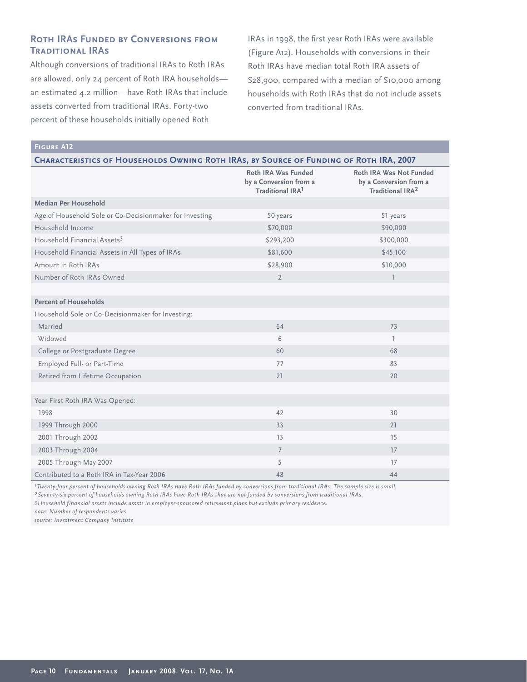# **Roth IRAs Funded by Conversions from Traditional IRAs**

Although conversions of traditional IRAs to Roth IRAs are allowed, only 24 percent of Roth IRA households an estimated 4.2 million—have Roth IRAs that include assets converted from traditional IRAs. Forty-two percent of these households initially opened Roth

IRAs in 1998, the first year Roth IRAs were available (Figure A12). Households with conversions in their Roth IRAs have median total Roth IRA assets of \$28,900, compared with a median of \$10,000 among households with Roth IRAs that do not include assets converted from traditional IRAs.

## **Figure A12**

| <b>CHARACTERISTICS OF HOUSEHOLDS OWNING ROTH IRAS, BY SOURCE OF FUNDING OF ROTH IRA, 2007</b> |  |
|-----------------------------------------------------------------------------------------------|--|
|-----------------------------------------------------------------------------------------------|--|

|                                                         | Roth IRA Was Funded<br>by a Conversion from a<br>Traditional IRA <sup>1</sup> | Roth IRA Was Not Funded<br>by a Conversion from a<br>Traditional IRA <sup>2</sup> |
|---------------------------------------------------------|-------------------------------------------------------------------------------|-----------------------------------------------------------------------------------|
| Median Per Household                                    |                                                                               |                                                                                   |
| Age of Household Sole or Co-Decisionmaker for Investing | 50 years                                                                      | 51 years                                                                          |
| Household Income                                        | \$70,000                                                                      | \$90,000                                                                          |
| Household Financial Assets <sup>3</sup>                 | \$293,200                                                                     | \$300,000                                                                         |
| Household Financial Assets in All Types of IRAs         | \$81,600                                                                      | \$45,100                                                                          |
| Amount in Roth IRAs                                     | \$28,900                                                                      | \$10,000                                                                          |
| Number of Roth IRAs Owned                               | $\overline{2}$                                                                | $\mathbb{I}$                                                                      |
|                                                         |                                                                               |                                                                                   |
| <b>Percent of Households</b>                            |                                                                               |                                                                                   |
| Household Sole or Co-Decisionmaker for Investing:       |                                                                               |                                                                                   |
| Married                                                 | 64                                                                            | 73                                                                                |
| Widowed                                                 | 6                                                                             | ı.                                                                                |
| College or Postgraduate Degree                          | 60                                                                            | 68                                                                                |
| Employed Full- or Part-Time                             | 77                                                                            | 83                                                                                |
| Retired from Lifetime Occupation                        | 21                                                                            | 20                                                                                |
|                                                         |                                                                               |                                                                                   |
| Year First Roth IRA Was Opened:                         |                                                                               |                                                                                   |
| 1998                                                    | 42                                                                            | 30                                                                                |
| 1999 Through 2000                                       | 33                                                                            | 21                                                                                |
| 2001 Through 2002                                       | 13                                                                            | 15                                                                                |
| 2003 Through 2004                                       | $7\overline{ }$                                                               | 17                                                                                |
| 2005 Through May 2007                                   | 5                                                                             | 17                                                                                |
| Contributed to a Roth IRA in Tax-Year 2006              | 48                                                                            | 44                                                                                |

*1Twenty-four percent of households owning Roth IRAs have Roth IRAs funded by conversions from traditional IRAs. The sample size is small. 2Seventy-six percent of households owning Roth IRAs have Roth IRAs that are not funded by conversions from traditional IRAs.*

*3Household financial assets include assets in employer-sponsored retirement plans but exclude primary residence.*

*note: Number of respondents varies.*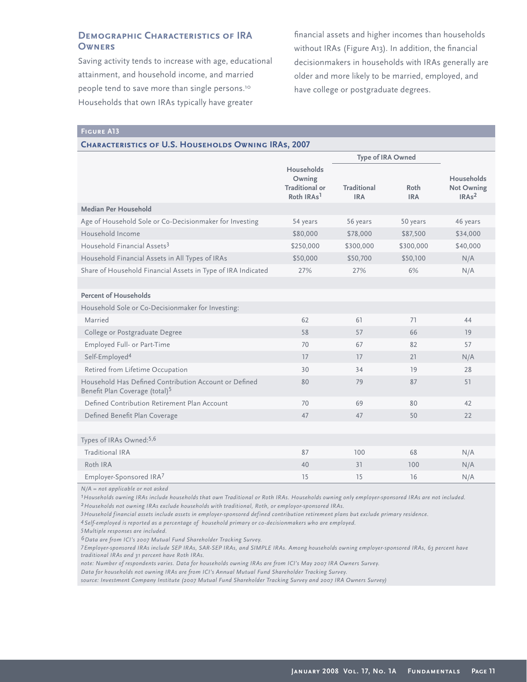# **Demographic Characteristics of IRA Owners**

Saving activity tends to increase with age, educational attainment, and household income, and married people tend to save more than single persons.<sup>10</sup> Households that own IRAs typically have greater

financial assets and higher incomes than households without IRAs (Figure A13). In addition, the financial decisionmakers in households with IRAs generally are older and more likely to be married, employed, and have college or postgraduate degrees.

**Figure A13**

#### **Characteristics of U.S. Households Owning IRAs, 2007**

|                                                                                                     |                                                                         | <b>Type of IRA Owned</b>         |                    |                                                      |
|-----------------------------------------------------------------------------------------------------|-------------------------------------------------------------------------|----------------------------------|--------------------|------------------------------------------------------|
|                                                                                                     | Households<br>Owning<br><b>Traditional or</b><br>Roth IRAs <sup>1</sup> | <b>Traditional</b><br><b>IRA</b> | Roth<br><b>IRA</b> | Households<br><b>Not Owning</b><br>IRAs <sup>2</sup> |
| Median Per Household                                                                                |                                                                         |                                  |                    |                                                      |
| Age of Household Sole or Co-Decisionmaker for Investing                                             | 54 years                                                                | 56 years                         | 50 years           | 46 years                                             |
| Household Income                                                                                    | \$80,000                                                                | \$78,000                         | \$87,500           | \$34,000                                             |
| Household Financial Assets <sup>3</sup>                                                             | \$250,000                                                               | \$300,000                        | \$300,000          | \$40,000                                             |
| Household Financial Assets in All Types of IRAs                                                     | \$50,000                                                                | \$50,700                         | \$50,100           | N/A                                                  |
| Share of Household Financial Assets in Type of IRA Indicated                                        | 27%                                                                     | 27%                              | 6%                 | N/A                                                  |
|                                                                                                     |                                                                         |                                  |                    |                                                      |
| <b>Percent of Households</b>                                                                        |                                                                         |                                  |                    |                                                      |
| Household Sole or Co-Decisionmaker for Investing:                                                   |                                                                         |                                  |                    |                                                      |
| Married                                                                                             | 62                                                                      | 61                               | 71                 | 44                                                   |
| College or Postgraduate Degree                                                                      | 58                                                                      | 57                               | 66                 | 19                                                   |
| Employed Full- or Part-Time                                                                         | 70                                                                      | 67                               | 82                 | 57                                                   |
| Self-Employed <sup>4</sup>                                                                          | 17                                                                      | 17                               | 21                 | N/A                                                  |
| Retired from Lifetime Occupation                                                                    | 30                                                                      | 34                               | 19                 | 28                                                   |
| Household Has Defined Contribution Account or Defined<br>Benefit Plan Coverage (total) <sup>5</sup> | 80                                                                      | 79                               | 87                 | 51                                                   |
| Defined Contribution Retirement Plan Account                                                        | 70                                                                      | 69                               | 80                 | 42                                                   |
| Defined Benefit Plan Coverage                                                                       | 47                                                                      | 47                               | 50                 | 22                                                   |
|                                                                                                     |                                                                         |                                  |                    |                                                      |
| Types of IRAs Owned:5,6                                                                             |                                                                         |                                  |                    |                                                      |
| <b>Traditional IRA</b>                                                                              | 87                                                                      | 100                              | 68                 | N/A                                                  |
| Roth IRA                                                                                            | 40                                                                      | 31                               | 100                | N/A                                                  |
| Employer-Sponsored IRA7                                                                             | 15                                                                      | 15                               | 16                 | N/A                                                  |

*N/A = not applicable or not asked* 

*1Households owning IRAs include households that own Traditional or Roth IRAs. Households owning only employer-sponsored IRAs are not included. 2Households not owning IRAs exclude households with traditional, Roth, or employor-sponsored IRAs.*

*3Household financial assets include assets in employer-sponsored defined contribution retirement plans but exclude primary residence.*

*4Self-employed is reported as a percentage of household primary or co-decisionmakers who are employed.*

*5Multiple responses are included.* 

*6Data are from ICI's 2007 Mutual Fund Shareholder Tracking Survey.*

*7Employer-sponsored IRAs include SEP IRAs, SAR-SEP IRAs, and SIMPLE IRAs. Among households owning employer-sponsored IRAs, 63 percent have traditional IRAs and 31 percent have Roth IRAs.* 

*note: Number of respondents varies. Data for households owning IRAs are from ICI's May 2007 IRA Owners Survey.*

*Data for households not owning IRAs are from ICI's Annual Mutual Fund Shareholder Tracking Survey.*

*source: Investment Company Institute (2007 Mutual Fund Shareholder Tracking Survey and 2007 IRA Owners Survey)*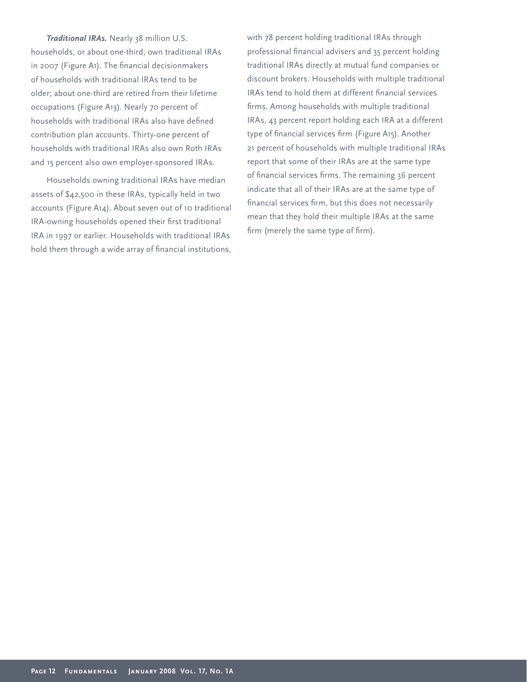*Traditional IRAs.* Nearly 38 million U.S. households, or about one-third, own traditional IRAs in 2007 (Figure A1). The financial decisionmakers of households with traditional IRAs tend to be older; about one-third are retired from their lifetime occupations (Figure A13). Nearly 70 percent of households with traditional IRAs also have defined contribution plan accounts. Thirty-one percent of households with traditional IRAs also own Roth IRAs and 15 percent also own employer-sponsored IRAs.

Households owning traditional IRAs have median assets of \$42,500 in these IRAs, typically held in two accounts (Figure A14). About seven out of 10 traditional IRA-owning households opened their first traditional IRA in 1997 or earlier. Households with traditional IRAs hold them through a wide array of financial institutions, with 78 percent holding traditional IRAs through professional financial advisers and 35 percent holding traditional IRAs directly at mutual fund companies or discount brokers. Households with multiple traditional IRAs tend to hold them at different financial services firms. Among households with multiple traditional IRAs, 43 percent report holding each IRA at a different type of financial services firm (Figure A15). Another 21 percent of households with multiple traditional IRAs report that some of their IRAs are at the same type of financial services firms. The remaining 36 percent indicate that all of their IRAs are at the same type of financial services firm, but this does not necessarily mean that they hold their multiple IRAs at the same firm (merely the same type of firm).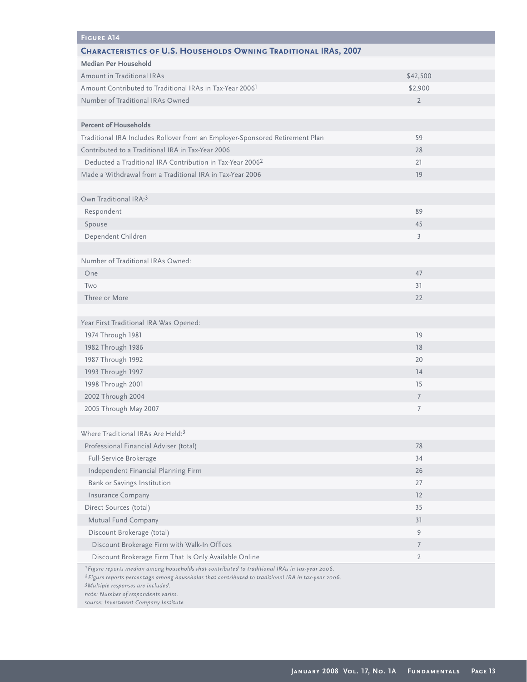| <b>FIGURE A14</b>                                                                                          |                |
|------------------------------------------------------------------------------------------------------------|----------------|
| <b>CHARACTERISTICS OF U.S. HOUSEHOLDS OWNING TRADITIONAL IRAS, 2007</b>                                    |                |
| <b>Median Per Household</b>                                                                                |                |
| Amount in Traditional IRAs                                                                                 | \$42,500       |
| Amount Contributed to Traditional IRAs in Tax-Year 2006 <sup>1</sup>                                       | \$2,900        |
| Number of Traditional IRAs Owned                                                                           | $\overline{2}$ |
|                                                                                                            |                |
| <b>Percent of Households</b>                                                                               |                |
| Traditional IRA Includes Rollover from an Employer-Sponsored Retirement Plan                               | 59             |
| Contributed to a Traditional IRA in Tax-Year 2006                                                          | 28             |
| Deducted a Traditional IRA Contribution in Tax-Year 2006 <sup>2</sup>                                      | 21             |
| Made a Withdrawal from a Traditional IRA in Tax-Year 2006                                                  | 19             |
|                                                                                                            |                |
| Own Traditional IRA: <sup>3</sup>                                                                          |                |
| Respondent                                                                                                 | 89             |
| Spouse                                                                                                     | 45             |
| Dependent Children                                                                                         | 3              |
|                                                                                                            |                |
| Number of Traditional IRAs Owned:                                                                          |                |
| One                                                                                                        | 47             |
| Two                                                                                                        | 31             |
| Three or More                                                                                              | 22             |
|                                                                                                            |                |
| Year First Traditional IRA Was Opened:                                                                     |                |
| 1974 Through 1981                                                                                          | 19             |
| 1982 Through 1986                                                                                          | 18             |
| 1987 Through 1992                                                                                          | 20             |
| 1993 Through 1997                                                                                          | 14             |
| 1998 Through 2001                                                                                          | 15             |
| 2002 Through 2004                                                                                          | $\overline{7}$ |
| 2005 Through May 2007                                                                                      | 7              |
|                                                                                                            |                |
| Where Traditional IRAs Are Held: <sup>3</sup>                                                              |                |
| Professional Financial Adviser (total)                                                                     | 78             |
| Full-Service Brokerage                                                                                     | 34             |
| Independent Financial Planning Firm                                                                        | 26             |
| Bank or Savings Institution                                                                                | 27             |
| Insurance Company                                                                                          | 12             |
| Direct Sources (total)                                                                                     | 35             |
| Mutual Fund Company                                                                                        | 31             |
| Discount Brokerage (total)                                                                                 | 9              |
| Discount Brokerage Firm with Walk-In Offices                                                               | $\overline{7}$ |
| Discount Brokerage Firm That Is Only Available Online                                                      | $\overline{2}$ |
| <sup>1</sup> Figure reports median among households that contributed to traditional IRAs in tax-year 2006. |                |

*2Figure reports percentage among households that contributed to traditional IRA in tax-year 2006.*

*3Multiple responses are included.*

*note: Number of respondents varies.*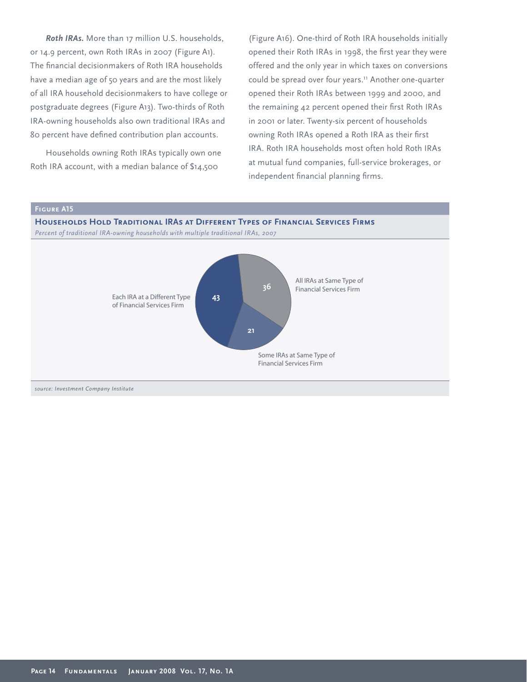*Roth IRAs.* More than 17 million U.S. households, or 14.9 percent, own Roth IRAs in 2007 (Figure A1). The financial decisionmakers of Roth IRA households have a median age of 50 years and are the most likely of all IRA household decisionmakers to have college or postgraduate degrees (Figure A13). Two-thirds of Roth IRA-owning households also own traditional IRAs and 80 percent have defined contribution plan accounts.

Households owning Roth IRAs typically own one Roth IRA account, with a median balance of \$14,500

(Figure A16). One-third of Roth IRA households initially opened their Roth IRAs in 1998, the first year they were offered and the only year in which taxes on conversions could be spread over four years.<sup>11</sup> Another one-quarter opened their Roth IRAs between 1999 and 2000, and the remaining  $42$  percent opened their first Roth IRAs in 2001 or later. Twenty-six percent of households owning Roth IRAs opened a Roth IRA as their first IRA. Roth IRA households most often hold Roth IRAs at mutual fund companies, full-service brokerages, or independent financial planning firms.

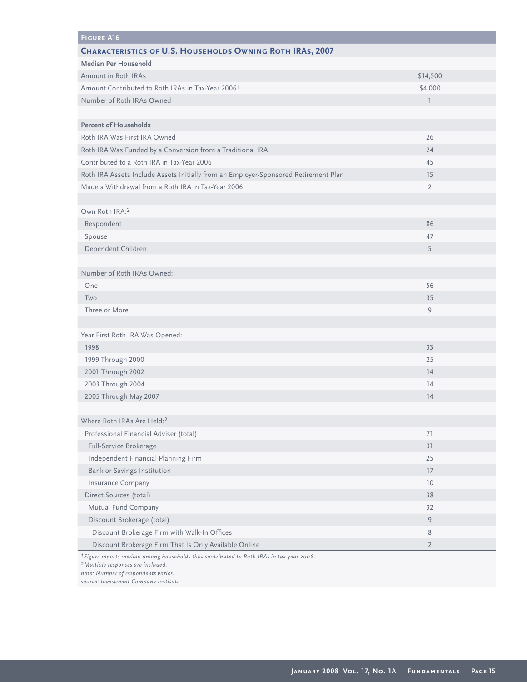| <b>FIGURE A16</b>                                                                                   |                          |
|-----------------------------------------------------------------------------------------------------|--------------------------|
| <b>CHARACTERISTICS OF U.S. HOUSEHOLDS OWNING ROTH IRAS, 2007</b>                                    |                          |
| Median Per Household                                                                                |                          |
| Amount in Roth IRAs                                                                                 | \$14,500                 |
| Amount Contributed to Roth IRAs in Tax-Year 2006 <sup>1</sup>                                       | \$4,000                  |
| Number of Roth IRAs Owned                                                                           | $\overline{\phantom{a}}$ |
|                                                                                                     |                          |
| <b>Percent of Households</b>                                                                        |                          |
| Roth IRA Was First IRA Owned                                                                        | 26                       |
| Roth IRA Was Funded by a Conversion from a Traditional IRA                                          | 24                       |
| Contributed to a Roth IRA in Tax-Year 2006                                                          | 45                       |
| Roth IRA Assets Include Assets Initially from an Employer-Sponsored Retirement Plan                 | 15                       |
| Made a Withdrawal from a Roth IRA in Tax-Year 2006                                                  | $\overline{2}$           |
|                                                                                                     |                          |
| Own Roth IRA:2                                                                                      |                          |
| Respondent                                                                                          | 86                       |
| Spouse                                                                                              | 47                       |
| Dependent Children                                                                                  | 5                        |
|                                                                                                     |                          |
| Number of Roth IRAs Owned:                                                                          |                          |
| One                                                                                                 | 56                       |
| Two                                                                                                 | 35                       |
| Three or More                                                                                       | $\overline{9}$           |
|                                                                                                     |                          |
| Year First Roth IRA Was Opened:                                                                     |                          |
| 1998                                                                                                | 33                       |
| 1999 Through 2000                                                                                   | 25                       |
| 2001 Through 2002                                                                                   | 14                       |
| 2003 Through 2004                                                                                   | 14                       |
| 2005 Through May 2007                                                                               | 14                       |
|                                                                                                     |                          |
| Where Roth IRAs Are Held:2                                                                          |                          |
| Professional Financial Adviser (total)                                                              | 71                       |
| Full-Service Brokerage                                                                              | 31                       |
| Independent Financial Planning Firm                                                                 | 25                       |
| Bank or Savings Institution                                                                         | 17                       |
| Insurance Company                                                                                   | 10                       |
| Direct Sources (total)                                                                              | 38                       |
| Mutual Fund Company                                                                                 | 32                       |
| Discount Brokerage (total)                                                                          | 9                        |
| Discount Brokerage Firm with Walk-In Offices                                                        | 8                        |
| Discount Brokerage Firm That Is Only Available Online                                               | $\overline{2}$           |
| <sup>1</sup> Figure reports median among households that contributed to Roth IRAs in tax-year 2006. |                          |

*2Multiple responses are included.*

*note: Number of respondents varies.*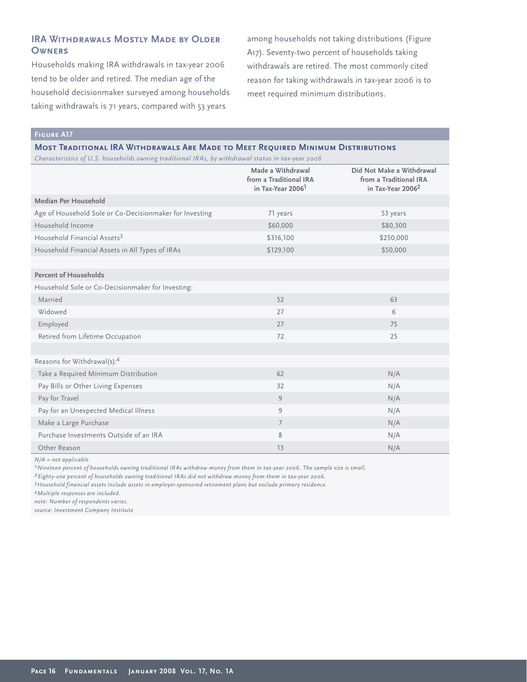# **IRA WITHDRAWALS MOSTLY MADE BY OLDER Owners**

Households making IRA withdrawals in tax-year 2006 tend to be older and retired. The median age of the household decisionmaker surveyed among households taking withdrawals is 71 years, compared with 53 years

among households not taking distributions (Figure A17). Seventy-two percent of households taking withdrawals are retired. The most commonly cited reason for taking withdrawals in tax-year 2006 is to meet required minimum distributions.

**Figure A17**

#### **Most Traditional IRA Withdrawals Are Made to Meet Required Minimum Distributions**

*Characteristics of U.S. households owning traditional IRAs, by withdrawal status in tax-year 2006*

|                                                         | Made a Withdrawal<br>from a Traditional IRA<br>in Tax-Year 2006 <sup>1</sup> | Did Not Make a Withdrawal<br>from a Traditional IRA<br>in Tax-Year 2006 <sup>2</sup> |  |
|---------------------------------------------------------|------------------------------------------------------------------------------|--------------------------------------------------------------------------------------|--|
| Median Per Household                                    |                                                                              |                                                                                      |  |
| Age of Household Sole or Co-Decisionmaker for Investing | 71 years                                                                     | 53 years                                                                             |  |
| Household Income                                        | \$60,000                                                                     | \$80,300                                                                             |  |
| Household Financial Assets <sup>3</sup>                 | \$316,100                                                                    | \$250,000                                                                            |  |
| Household Financial Assets in All Types of IRAs         | \$129,100                                                                    | \$50,000                                                                             |  |
|                                                         |                                                                              |                                                                                      |  |
| <b>Percent of Households</b>                            |                                                                              |                                                                                      |  |
| Household Sole or Co-Decisionmaker for Investing:       |                                                                              |                                                                                      |  |
| Married                                                 | 52                                                                           | 63                                                                                   |  |
| Widowed                                                 | 27                                                                           | 6                                                                                    |  |
| Employed                                                | 27                                                                           | 75                                                                                   |  |
| Retired from Lifetime Occupation                        | 72                                                                           | 25                                                                                   |  |
|                                                         |                                                                              |                                                                                      |  |
| Reasons for Withdrawal(s):4                             |                                                                              |                                                                                      |  |
| Take a Required Minimum Distribution                    | 62                                                                           | N/A                                                                                  |  |
| Pay Bills or Other Living Expenses                      | 32                                                                           | N/A                                                                                  |  |
| Pay for Travel                                          | 9                                                                            | N/A                                                                                  |  |
| Pay for an Unexpected Medical Illness                   | 9                                                                            | N/A                                                                                  |  |
| Make a Large Purchase                                   | $\overline{7}$                                                               | N/A                                                                                  |  |
| Purchase Investments Outside of an IRA                  | 8                                                                            | N/A                                                                                  |  |
| Other Reason                                            | 13                                                                           | N/A                                                                                  |  |

*N/A = not applicable*

*1Nineteen percent of households owning traditional IRAs withdrew money from them in tax-year 2006. The sample size is small.*

*2Eighty-one percent of households owning traditional IRAs did not withdraw money from them in tax-year 2006.*

*3Household financial assets include assets in employer-sponsored retirement plans but exclude primary residence.*

*4Multiple responses are included.*

*note: Number of respondents varies.*